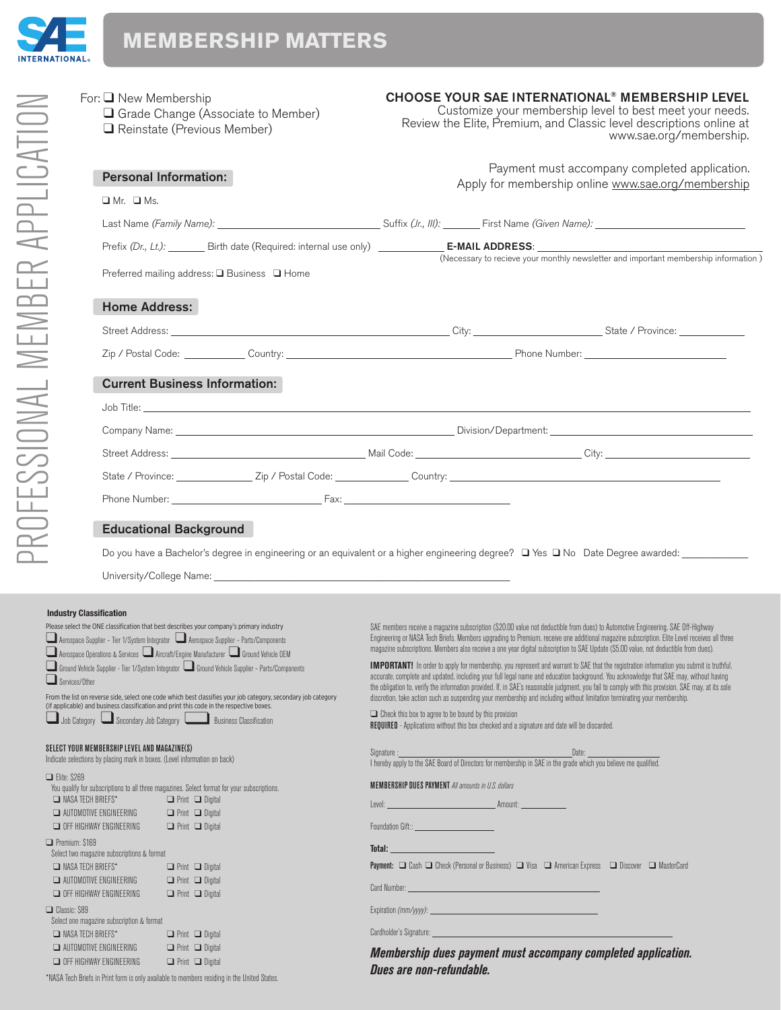

| PROFESSIONAL MEMBER APPLICATION | For: $\Box$ New Membership                                                                                                | Grade Change (Associate to Member)<br>Reinstate (Previous Member)                                                                                                                                                                                                                                                                                                                                                                                                                                                                                                                                                                                                  |                                                                                                                                                                                                                                     | <b>CHOOSE YOUR SAE INTERNATIONAL<sup>®</sup> MEMBERSHIP LEVEL</b><br>Customize your membership level to best meet your needs.<br>Review the Elite, Premium, and Classic level descriptions online at                                                                                                                                                                                                                                                                                                                                                                                                                                                                                                                                                                                                                                                                                                                                                                                                                                                                                                | www.sae.org/membership. |  |  |  |  |  |  |
|---------------------------------|---------------------------------------------------------------------------------------------------------------------------|--------------------------------------------------------------------------------------------------------------------------------------------------------------------------------------------------------------------------------------------------------------------------------------------------------------------------------------------------------------------------------------------------------------------------------------------------------------------------------------------------------------------------------------------------------------------------------------------------------------------------------------------------------------------|-------------------------------------------------------------------------------------------------------------------------------------------------------------------------------------------------------------------------------------|-----------------------------------------------------------------------------------------------------------------------------------------------------------------------------------------------------------------------------------------------------------------------------------------------------------------------------------------------------------------------------------------------------------------------------------------------------------------------------------------------------------------------------------------------------------------------------------------------------------------------------------------------------------------------------------------------------------------------------------------------------------------------------------------------------------------------------------------------------------------------------------------------------------------------------------------------------------------------------------------------------------------------------------------------------------------------------------------------------|-------------------------|--|--|--|--|--|--|
|                                 |                                                                                                                           | <b>Personal Information:</b>                                                                                                                                                                                                                                                                                                                                                                                                                                                                                                                                                                                                                                       |                                                                                                                                                                                                                                     | Payment must accompany completed application.                                                                                                                                                                                                                                                                                                                                                                                                                                                                                                                                                                                                                                                                                                                                                                                                                                                                                                                                                                                                                                                       |                         |  |  |  |  |  |  |
|                                 | $\Box$ Mr. $\Box$ Ms.                                                                                                     |                                                                                                                                                                                                                                                                                                                                                                                                                                                                                                                                                                                                                                                                    |                                                                                                                                                                                                                                     | Apply for membership online www.sae.org/membership                                                                                                                                                                                                                                                                                                                                                                                                                                                                                                                                                                                                                                                                                                                                                                                                                                                                                                                                                                                                                                                  |                         |  |  |  |  |  |  |
|                                 |                                                                                                                           | Last Name (Family Name): 1992. [2012] Suffix (Jr., III): First Name (Given Name): 1993. [2013] Clast Name (Given Name): 1994. [2013] Class Name] Class Name (Given Name): 1994. [2013] Class Name (Given Name): 1994. [2013] C                                                                                                                                                                                                                                                                                                                                                                                                                                     |                                                                                                                                                                                                                                     |                                                                                                                                                                                                                                                                                                                                                                                                                                                                                                                                                                                                                                                                                                                                                                                                                                                                                                                                                                                                                                                                                                     |                         |  |  |  |  |  |  |
|                                 |                                                                                                                           | Prefix $(Dr, Lt)$ : Birth date (Required: internal use only) <b>E-MAIL ADDRESS</b> :                                                                                                                                                                                                                                                                                                                                                                                                                                                                                                                                                                               |                                                                                                                                                                                                                                     |                                                                                                                                                                                                                                                                                                                                                                                                                                                                                                                                                                                                                                                                                                                                                                                                                                                                                                                                                                                                                                                                                                     |                         |  |  |  |  |  |  |
|                                 |                                                                                                                           | Preferred mailing address: □ Business □ Home                                                                                                                                                                                                                                                                                                                                                                                                                                                                                                                                                                                                                       |                                                                                                                                                                                                                                     | (Necessary to recieve your monthly newsletter and important membership information)                                                                                                                                                                                                                                                                                                                                                                                                                                                                                                                                                                                                                                                                                                                                                                                                                                                                                                                                                                                                                 |                         |  |  |  |  |  |  |
|                                 | <b>Home Address:</b>                                                                                                      |                                                                                                                                                                                                                                                                                                                                                                                                                                                                                                                                                                                                                                                                    |                                                                                                                                                                                                                                     |                                                                                                                                                                                                                                                                                                                                                                                                                                                                                                                                                                                                                                                                                                                                                                                                                                                                                                                                                                                                                                                                                                     |                         |  |  |  |  |  |  |
|                                 |                                                                                                                           |                                                                                                                                                                                                                                                                                                                                                                                                                                                                                                                                                                                                                                                                    |                                                                                                                                                                                                                                     |                                                                                                                                                                                                                                                                                                                                                                                                                                                                                                                                                                                                                                                                                                                                                                                                                                                                                                                                                                                                                                                                                                     |                         |  |  |  |  |  |  |
|                                 |                                                                                                                           |                                                                                                                                                                                                                                                                                                                                                                                                                                                                                                                                                                                                                                                                    |                                                                                                                                                                                                                                     |                                                                                                                                                                                                                                                                                                                                                                                                                                                                                                                                                                                                                                                                                                                                                                                                                                                                                                                                                                                                                                                                                                     |                         |  |  |  |  |  |  |
|                                 |                                                                                                                           | <b>Current Business Information:</b>                                                                                                                                                                                                                                                                                                                                                                                                                                                                                                                                                                                                                               |                                                                                                                                                                                                                                     |                                                                                                                                                                                                                                                                                                                                                                                                                                                                                                                                                                                                                                                                                                                                                                                                                                                                                                                                                                                                                                                                                                     |                         |  |  |  |  |  |  |
|                                 |                                                                                                                           | Job Title: <u>Alexander Alexander Alexander Alexander Alexander Alexander Alexander Alexander Alexander Alexander</u>                                                                                                                                                                                                                                                                                                                                                                                                                                                                                                                                              |                                                                                                                                                                                                                                     |                                                                                                                                                                                                                                                                                                                                                                                                                                                                                                                                                                                                                                                                                                                                                                                                                                                                                                                                                                                                                                                                                                     |                         |  |  |  |  |  |  |
|                                 |                                                                                                                           |                                                                                                                                                                                                                                                                                                                                                                                                                                                                                                                                                                                                                                                                    | Company Name: <u>Company Name:</u> Company Name: Company Name: Company Name: Company Name: Company Name: Company Name: Company Name: Company Name: Company Name: Company Name: Company Name: Company Name: Company Name: Company Na |                                                                                                                                                                                                                                                                                                                                                                                                                                                                                                                                                                                                                                                                                                                                                                                                                                                                                                                                                                                                                                                                                                     |                         |  |  |  |  |  |  |
|                                 |                                                                                                                           |                                                                                                                                                                                                                                                                                                                                                                                                                                                                                                                                                                                                                                                                    |                                                                                                                                                                                                                                     |                                                                                                                                                                                                                                                                                                                                                                                                                                                                                                                                                                                                                                                                                                                                                                                                                                                                                                                                                                                                                                                                                                     |                         |  |  |  |  |  |  |
|                                 |                                                                                                                           |                                                                                                                                                                                                                                                                                                                                                                                                                                                                                                                                                                                                                                                                    |                                                                                                                                                                                                                                     |                                                                                                                                                                                                                                                                                                                                                                                                                                                                                                                                                                                                                                                                                                                                                                                                                                                                                                                                                                                                                                                                                                     |                         |  |  |  |  |  |  |
|                                 |                                                                                                                           |                                                                                                                                                                                                                                                                                                                                                                                                                                                                                                                                                                                                                                                                    |                                                                                                                                                                                                                                     |                                                                                                                                                                                                                                                                                                                                                                                                                                                                                                                                                                                                                                                                                                                                                                                                                                                                                                                                                                                                                                                                                                     |                         |  |  |  |  |  |  |
|                                 |                                                                                                                           | <b>Educational Background</b>                                                                                                                                                                                                                                                                                                                                                                                                                                                                                                                                                                                                                                      |                                                                                                                                                                                                                                     |                                                                                                                                                                                                                                                                                                                                                                                                                                                                                                                                                                                                                                                                                                                                                                                                                                                                                                                                                                                                                                                                                                     |                         |  |  |  |  |  |  |
|                                 |                                                                                                                           | Do you have a Bachelor's degree in engineering or an equivalent or a higher engineering degree? □ Yes □ No Date Degree awarded:                                                                                                                                                                                                                                                                                                                                                                                                                                                                                                                                    |                                                                                                                                                                                                                                     |                                                                                                                                                                                                                                                                                                                                                                                                                                                                                                                                                                                                                                                                                                                                                                                                                                                                                                                                                                                                                                                                                                     |                         |  |  |  |  |  |  |
|                                 |                                                                                                                           |                                                                                                                                                                                                                                                                                                                                                                                                                                                                                                                                                                                                                                                                    |                                                                                                                                                                                                                                     |                                                                                                                                                                                                                                                                                                                                                                                                                                                                                                                                                                                                                                                                                                                                                                                                                                                                                                                                                                                                                                                                                                     |                         |  |  |  |  |  |  |
|                                 |                                                                                                                           |                                                                                                                                                                                                                                                                                                                                                                                                                                                                                                                                                                                                                                                                    |                                                                                                                                                                                                                                     |                                                                                                                                                                                                                                                                                                                                                                                                                                                                                                                                                                                                                                                                                                                                                                                                                                                                                                                                                                                                                                                                                                     |                         |  |  |  |  |  |  |
| $\Box$ Services/Other           | <b>Industry Classification</b>                                                                                            | Please select the ONE classification that best describes your company's primary industry<br>Aerospace Supplier - Tier 1/System Integrator Aerospace Supplier - Parts/Components<br>Aerospace Operations & Services Aircraft/Engine Manufacturer and Cround Vehicle OEM<br>Ground Vehicle Supplier - Tier 1/System Integrator Ground Vehicle Supplier - Parts/Components<br>From the list on reverse side, select one code which best classifies your job category, secondary job category<br>(if applicable) and business classification and print this code in the respective boxes.<br>Job Category $\Box$ Secondary Job Category $\Box$ Business Classification | $\Box$ Check this box to agree to be bound by this provision                                                                                                                                                                        | SAE members receive a magazine subscription (\$20.00 value not deductible from dues) to Automotive Engineering, SAE Off-Highway<br>Engineering or NASA Tech Briefs. Members upgrading to Premium, receive one additional magazine subscription. Elite Level receives all three<br>magazine subscriptions. Members also receive a one year digital subscription to SAE Update (\$5.00 value, not deductible from dues).<br><b>IMPORTANT!</b> In order to apply for membership, you represent and warrant to SAE that the registration information you submit is truthful,<br>accurate, complete and updated, including your full legal name and education background. You acknowledge that SAE may, without having<br>the obligation to, verify the information provided. If, in SAE's reasonable judgment, you fail to comply with this provision, SAE may, at its sole<br>discretion, take action such as suspending your membership and including without limitation terminating your membership.<br>REQUIRED - Applications without this box checked and a signature and date will be discarded. |                         |  |  |  |  |  |  |
|                                 | SELECT YOUR MEMBERSHIP LEVEL AND MAGAZINE(S)<br>Indicate selections by placing mark in boxes. (Level information on back) |                                                                                                                                                                                                                                                                                                                                                                                                                                                                                                                                                                                                                                                                    | Signature :                                                                                                                                                                                                                         | Date:                                                                                                                                                                                                                                                                                                                                                                                                                                                                                                                                                                                                                                                                                                                                                                                                                                                                                                                                                                                                                                                                                               |                         |  |  |  |  |  |  |
| Flite: \$269                    | NASA TECH BRIEFS*<br>AUTOMOTIVE ENGINEERING<br>$\Box$ OFF HIGHWAY ENGINEERING                                             | You qualify for subscriptions to all three magazines. Select format for your subscriptions.<br>$\Box$ Print $\Box$ Digital<br>$\Box$ Print $\Box$ Digital<br>$\Box$ Print $\Box$ Digital                                                                                                                                                                                                                                                                                                                                                                                                                                                                           |                                                                                                                                                                                                                                     | I hereby apply to the SAE Board of Directors for membership in SAE in the grade which you believe me qualified.<br><b>MEMBERSHIP DUES PAYMENT</b> All amounts in U.S. dollars<br>Foundation Gift:: Foundation Company                                                                                                                                                                                                                                                                                                                                                                                                                                                                                                                                                                                                                                                                                                                                                                                                                                                                               |                         |  |  |  |  |  |  |
| $\Box$ Premium: \$169           | Select two magazine subscriptions & format<br>NASA TECH BRIEFS*<br>AUTOMOTIVE ENGINEERING                                 | $\Box$ Print $\Box$ Digital<br>$\Box$ Print $\Box$ Digital                                                                                                                                                                                                                                                                                                                                                                                                                                                                                                                                                                                                         | Total: <b>All Contracts Contracts</b>                                                                                                                                                                                               | Payment: □ Cash □ Check (Personal or Business) □ Visa □ American Express □ Discover □ MasterCard                                                                                                                                                                                                                                                                                                                                                                                                                                                                                                                                                                                                                                                                                                                                                                                                                                                                                                                                                                                                    |                         |  |  |  |  |  |  |
|                                 | OFF HIGHWAY ENGINEERING                                                                                                   | $\Box$ Print $\Box$ Digital                                                                                                                                                                                                                                                                                                                                                                                                                                                                                                                                                                                                                                        |                                                                                                                                                                                                                                     |                                                                                                                                                                                                                                                                                                                                                                                                                                                                                                                                                                                                                                                                                                                                                                                                                                                                                                                                                                                                                                                                                                     |                         |  |  |  |  |  |  |
| $\Box$ Classic: \$89            | Select one magazine subscription & format                                                                                 |                                                                                                                                                                                                                                                                                                                                                                                                                                                                                                                                                                                                                                                                    |                                                                                                                                                                                                                                     |                                                                                                                                                                                                                                                                                                                                                                                                                                                                                                                                                                                                                                                                                                                                                                                                                                                                                                                                                                                                                                                                                                     |                         |  |  |  |  |  |  |
|                                 | NASA TECH BRIEFS*<br>AUTOMOTIVE ENGINEERING                                                                               | $\Box$ Print $\Box$ Digital<br>$\Box$ Print $\Box$ Digital                                                                                                                                                                                                                                                                                                                                                                                                                                                                                                                                                                                                         |                                                                                                                                                                                                                                     |                                                                                                                                                                                                                                                                                                                                                                                                                                                                                                                                                                                                                                                                                                                                                                                                                                                                                                                                                                                                                                                                                                     |                         |  |  |  |  |  |  |
|                                 | OFF HIGHWAY ENGINEERING                                                                                                   | $\Box$ Print $\Box$ Digital                                                                                                                                                                                                                                                                                                                                                                                                                                                                                                                                                                                                                                        | Dues are non-refundable.                                                                                                                                                                                                            | Membership dues payment must accompany completed application.                                                                                                                                                                                                                                                                                                                                                                                                                                                                                                                                                                                                                                                                                                                                                                                                                                                                                                                                                                                                                                       |                         |  |  |  |  |  |  |

CHOOSE YOUR SAE INTERNATIONAL® MEMBERSHIP LEVEL

\*NASA Tech Briefs in Print form is only available to members residing in the United States.